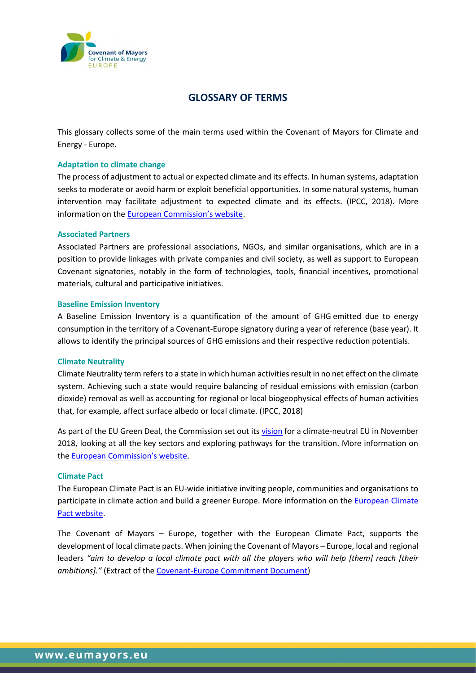

# **GLOSSARY OF TERMS**

This glossary collects some of the main terms used within the Covenant of Mayors for Climate and Energy - Europe.

# **Adaptation to climate change**

The process of adjustment to actual or expected climate and its effects. In human systems, adaptation seeks to moderate or avoid harm or exploit beneficial opportunities. In some natural systems, human intervention may facilitate adjustment to expected climate and its effects. (IPCC, 2018). More information on the [European Commission's website](https://ec.europa.eu/clima/policies/adaptation_en).

## **Associated Partners**

Associated Partners are professional associations, NGOs, and similar organisations, which are in a position to provide linkages with private companies and civil society, as well as support to European Covenant signatories, notably in the form of technologies, tools, financial incentives, promotional materials, cultural and participative initiatives.

#### **Baseline Emission Inventory**

A Baseline Emission Inventory is a quantification of the amount of GHG emitted due to energy consumption in the territory of a Covenant-Europe signatory during a year of reference (base year). It allows to identify the principal sources of GHG emissions and their respective reduction potentials.

#### **Climate Neutrality**

Climate Neutrality term refers to a state in which human activities result in no net effect on the climate system. Achieving such a state would require balancing of residual emissions with emission (carbon dioxide) removal as well as accounting for regional or local biogeophysical effects of human activities that, for example, affect surface albedo or local climate. (IPCC, 2018)

As part of the EU Green Deal, the Commission set out its [vision](https://eur-lex.europa.eu/legal-content/EN/TXT/?uri=CELEX:52018DC0773) for a climate-neutral EU in November 2018, looking at all the key sectors and exploring pathways for the transition. More information on the [European Commission's website](https://ec.europa.eu/clima/policies/strategies/2050_en).

## **Climate Pact**

The European Climate Pact is an EU-wide initiative inviting people, communities and organisations to participate in climate action and build a greener Europe. More information on the European Climate [Pact website.](https://europa.eu/climate-pact/index_en)

The Covenant of Mayors – Europe, together with the European Climate Pact, supports the development of local climate pacts. When joining the Covenant of Mayors – Europe, local and regional leaders "aim to develop a local climate pact with all the players who will help [them] reach [their *ambitions]."* (Extract of th[e Covenant-Europe Commitment Document\)](https://www.eumayors.eu/index.php?option=com_attachments&task=download&id=1017)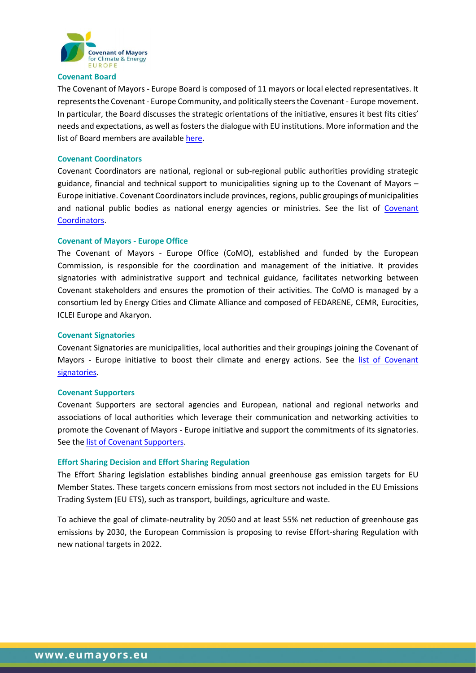

## **Covenant Board**

The Covenant of Mayors - Europe Board is composed of 11 mayors or local elected representatives. It represents the Covenant- Europe Community, and politically steers the Covenant - Europe movement. In particular, the Board discusses the strategic orientations of the initiative, ensures it best fits cities' needs and expectations, as well as fosters the dialogue with EU institutions. More information and the list of Board members are available [here.](https://www.covenantofmayors.eu/about/support-the-community/political-board.html)

## **Covenant Coordinators**

Covenant Coordinators are national, regional or sub-regional public authorities providing strategic guidance, financial and technical support to municipalities signing up to the Covenant of Mayors – Europe initiative. Covenant Coordinators include provinces, regions, public groupings of municipalities and national public bodies as national energy agencies or ministries. See the list of [Covenant](https://www.eumayors.eu/about/covenant-community/coordinators.html)  [Coordinators.](https://www.eumayors.eu/about/covenant-community/coordinators.html)

## **Covenant of Mayors - Europe Office**

The Covenant of Mayors - Europe Office (CoMO), established and funded by the European Commission, is responsible for the coordination and management of the initiative. It provides signatories with administrative support and technical guidance, facilitates networking between Covenant stakeholders and ensures the promotion of their activities. The CoMO is managed by a consortium led by Energy Cities and Climate Alliance and composed of FEDARENE, CEMR, Eurocities, ICLEI Europe and Akaryon.

## **Covenant Signatories**

Covenant Signatories are municipalities, local authorities and their groupings joining the Covenant of Mayors - Europe initiative to boost their climate and energy actions. See the [list of Covenant](https://www.eumayors.eu/about/covenant-community/signatories.html)  [signatories.](https://www.eumayors.eu/about/covenant-community/signatories.html)

#### **Covenant Supporters**

Covenant Supporters are sectoral agencies and European, national and regional networks and associations of local authorities which leverage their communication and networking activities to promote the Covenant of Mayors - Europe initiative and support the commitments of its signatories. See the [list of Covenant Supporters.](https://www.eumayors.eu/about/covenant-community/supporters.html)

# **Effort Sharing Decision and Effort Sharing Regulation**

The Effort Sharing legislation establishes binding annual greenhouse gas emission targets for EU Member States. These targets concern emissions from most sectors not included in the EU Emissions Trading System [\(EU ETS\)](https://ec.europa.eu/clima/policies/ets_en), such as transport, buildings, agriculture and waste.

To achieve the goal of [climate-neutrality by 2050](https://ec.europa.eu/clima/policies/strategies/2050_en) and at least 55% net reduction of greenhouse gas emissions by 2030, the European Commission is proposing to revise Effort-sharing Regulation with new national targets in 2022.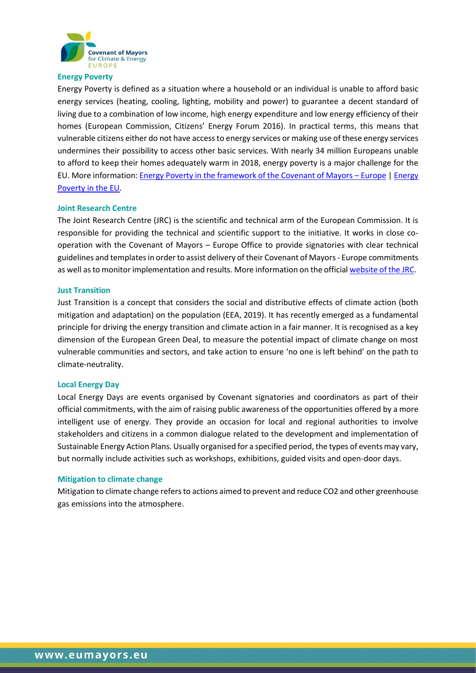

## **Energy Poverty**

Energy Poverty is defined as a situation where a household or an individual is unable to afford basic energy services (heating, cooling, lighting, mobility and power) to guarantee a decent standard of living due to a combination of low income, high energy expenditure and low energy efficiency of their homes (European Commission, Citizens' Energy Forum 2016). In practical terms, this means that vulnerable citizens either do not have access to energy services or making use of these energy services undermines their possibility to access other basic services. With nearly 34 million Europeans unable to afford to keep their homes adequately warm in 2018, energy poverty is a major challenge for the EU. More information[: Energy Poverty in the framework of the Covenant of Mayors](https://www.eumayors.eu/support/energy-poverty.html) – Europe [| Energy](https://ec.europa.eu/energy/topics/markets-and-consumers/energy-consumer-rights/energy-poverty_en)  [Poverty in the EU.](https://ec.europa.eu/energy/topics/markets-and-consumers/energy-consumer-rights/energy-poverty_en)

## **Joint Research Centre**

The Joint Research Centre (JRC) is the scientific and technical arm of the European Commission. It is responsible for providing the technical and scientific support to the initiative. It works in close cooperation with the Covenant of Mayors – Europe Office to provide signatories with clear technical guidelines and templates in order to assist delivery of their Covenant of Mayors- Europe commitments as well as to monitor implementation and results. More information on the officia[l website of the JRC.](http://ec.europa.eu/dgs/jrc/)

#### **Just Transition**

Just Transition is a concept that considers the social and distributive effects of climate action (both mitigation and adaptation) on the population (EEA, 2019). It has recently emerged as a fundamental principle for driving the energy transition and climate action in a fair manner. It is recognised as a key dimension of the European Green Deal, to measure the potential impact of climate change on most vulnerable communities and sectors, and take action to ensure 'no one is left behind' on the path to climate-neutrality.

#### **Local Energy Day**

Local Energy Days are events organised by Covenant signatories and coordinators as part of their official commitments, with the aim of raising public awareness of the opportunities offered by a more intelligent use of energy. They provide an occasion for local and regional authorities to involve stakeholders and citizens in a common dialogue related to the development and implementation of Sustainable Energy Action Plans. Usually organised for a specified period, the types of events may vary, but normally include activities such as workshops, exhibitions, guided visits and open-door days.

#### **Mitigation to climate change**

Mitigation to climate change refers to actions aimed to prevent and reduce CO2 and other greenhouse gas emissions into the atmosphere.